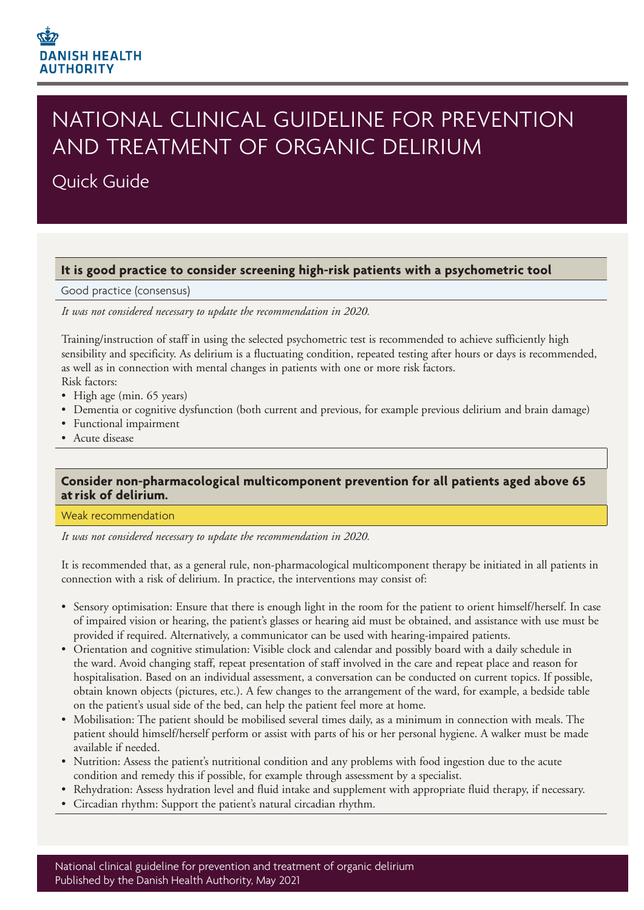

# NATIONAL CLINICAL GUIDELINE FOR PREVENTION AND TREATMENT OF ORGANIC DELIRIUM

# Quick Guide

# **It is good practice to consider screening high-risk patients with a psychometric tool**

#### Good practice (consensus)

*It was not considered necessary to update the recommendation in 2020.*

Training/instruction of staff in using the selected psychometric test is recommended to achieve sufficiently high sensibility and specificity. As delirium is a fluctuating condition, repeated testing after hours or days is recommended, as well as in connection with mental changes in patients with one or more risk factors.

- Risk factors: • High age (min. 65 years)
- Dementia or cognitive dysfunction (both current and previous, for example previous delirium and brain damage)
- Functional impairment
- Acute disease

# **Consider non-pharmacological multicomponent prevention for all patients aged above 65 at risk of delirium.**

#### Weak recommendation

*It was not considered necessary to update the recommendation in 2020.*

It is recommended that, as a general rule, non-pharmacological multicomponent therapy be initiated in all patients in connection with a risk of delirium. In practice, the interventions may consist of:

- Sensory optimisation: Ensure that there is enough light in the room for the patient to orient himself/herself. In case of impaired vision or hearing, the patient's glasses or hearing aid must be obtained, and assistance with use must be provided if required. Alternatively, a communicator can be used with hearing-impaired patients.
- Orientation and cognitive stimulation: Visible clock and calendar and possibly board with a daily schedule in the ward. Avoid changing staff, repeat presentation of staff involved in the care and repeat place and reason for hospitalisation. Based on an individual assessment, a conversation can be conducted on current topics. If possible, obtain known objects (pictures, etc.). A few changes to the arrangement of the ward, for example, a bedside table on the patient's usual side of the bed, can help the patient feel more at home.
- Mobilisation: The patient should be mobilised several times daily, as a minimum in connection with meals. The patient should himself/herself perform or assist with parts of his or her personal hygiene. A walker must be made available if needed.
- Nutrition: Assess the patient's nutritional condition and any problems with food ingestion due to the acute condition and remedy this if possible, for example through assessment by a specialist.
- Rehydration: Assess hydration level and fluid intake and supplement with appropriate fluid therapy, if necessary.
- Circadian rhythm: Support the patient's natural circadian rhythm.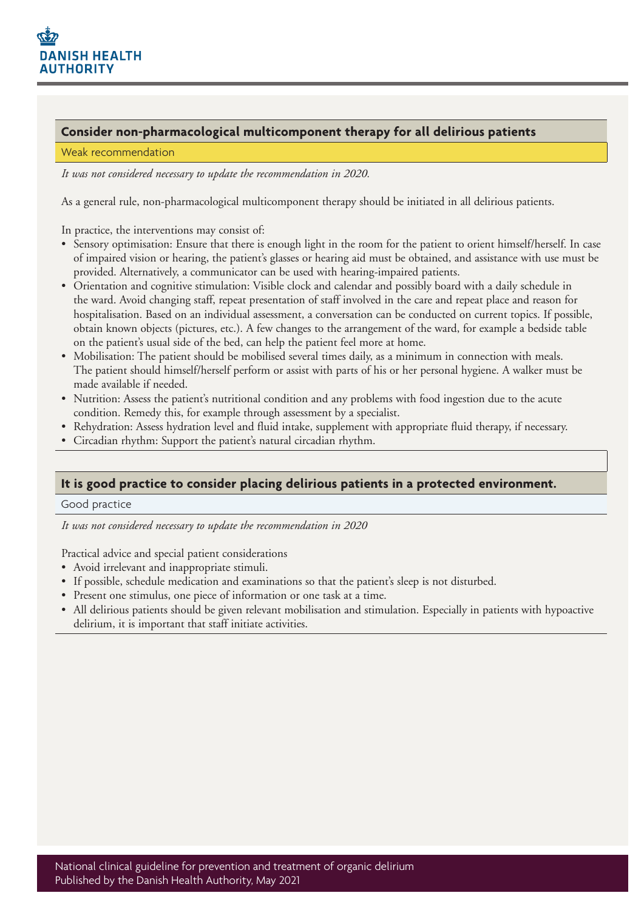

# **Consider non-pharmacological multicomponent therapy for all delirious patients**

#### Weak recommendation

*It was not considered necessary to update the recommendation in 2020.*

As a general rule, non-pharmacological multicomponent therapy should be initiated in all delirious patients.

In practice, the interventions may consist of:

- Sensory optimisation: Ensure that there is enough light in the room for the patient to orient himself/herself. In case of impaired vision or hearing, the patient's glasses or hearing aid must be obtained, and assistance with use must be provided. Alternatively, a communicator can be used with hearing-impaired patients.
- Orientation and cognitive stimulation: Visible clock and calendar and possibly board with a daily schedule in the ward. Avoid changing staff, repeat presentation of staff involved in the care and repeat place and reason for hospitalisation. Based on an individual assessment, a conversation can be conducted on current topics. If possible, obtain known objects (pictures, etc.). A few changes to the arrangement of the ward, for example a bedside table on the patient's usual side of the bed, can help the patient feel more at home.
- Mobilisation: The patient should be mobilised several times daily, as a minimum in connection with meals. The patient should himself/herself perform or assist with parts of his or her personal hygiene. A walker must be made available if needed.
- Nutrition: Assess the patient's nutritional condition and any problems with food ingestion due to the acute condition. Remedy this, for example through assessment by a specialist.
- Rehydration: Assess hydration level and fluid intake, supplement with appropriate fluid therapy, if necessary.
- Circadian rhythm: Support the patient's natural circadian rhythm.

# **It is good practice to consider placing delirious patients in a protected environment.**

#### Good practice

*It was not considered necessary to update the recommendation in 2020*

Practical advice and special patient considerations

- Avoid irrelevant and inappropriate stimuli.
- If possible, schedule medication and examinations so that the patient's sleep is not disturbed.
- Present one stimulus, one piece of information or one task at a time.
- All delirious patients should be given relevant mobilisation and stimulation. Especially in patients with hypoactive delirium, it is important that staff initiate activities.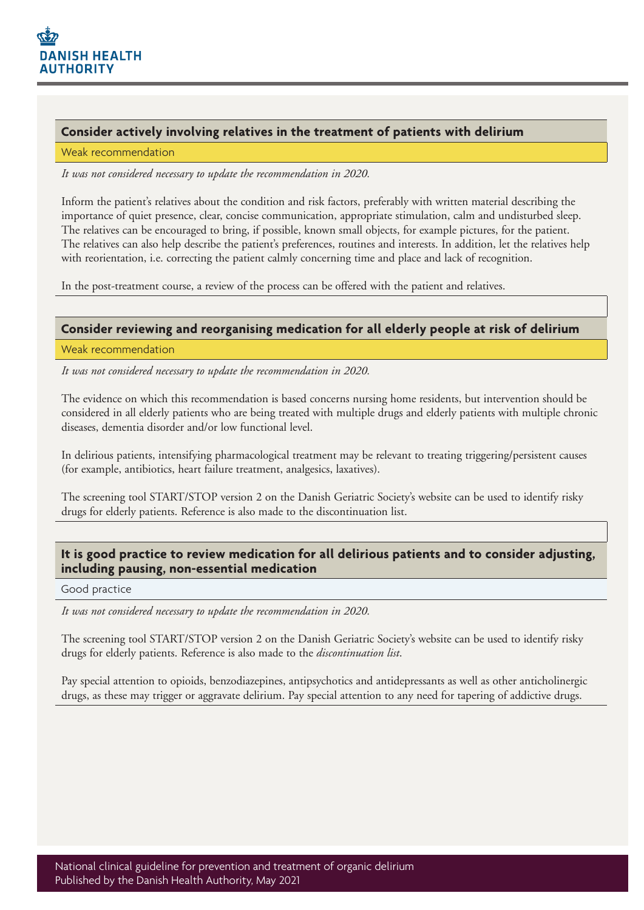

## **Consider actively involving relatives in the treatment of patients with delirium**

#### Weak recommendation

*It was not considered necessary to update the recommendation in 2020.*

Inform the patient's relatives about the condition and risk factors, preferably with written material describing the importance of quiet presence, clear, concise communication, appropriate stimulation, calm and undisturbed sleep. The relatives can be encouraged to bring, if possible, known small objects, for example pictures, for the patient. The relatives can also help describe the patient's preferences, routines and interests. In addition, let the relatives help with reorientation, i.e. correcting the patient calmly concerning time and place and lack of recognition.

In the post-treatment course, a review of the process can be offered with the patient and relatives.

# **Consider reviewing and reorganising medication for all elderly people at risk of delirium**

#### Weak recommendation

*It was not considered necessary to update the recommendation in 2020.*

The evidence on which this recommendation is based concerns nursing home residents, but intervention should be considered in all elderly patients who are being treated with multiple drugs and elderly patients with multiple chronic diseases, dementia disorder and/or low functional level.

In delirious patients, intensifying pharmacological treatment may be relevant to treating triggering/persistent causes (for example, antibiotics, heart failure treatment, analgesics, laxatives).

The screening tool START/STOP version 2 on the Danish Geriatric Society's website can be used to identify risky drugs for elderly patients. Reference is also made to the discontinuation list.

# **It is good practice to review medication for all delirious patients and to consider adjusting, including pausing, non-essential medication**

#### Good practice

*It was not considered necessary to update the recommendation in 2020.*

The screening tool START/STOP version 2 on the Danish Geriatric Society's website can be used to identify risky drugs for elderly patients. Reference is also made to the *discontinuation list*.

Pay special attention to opioids, benzodiazepines, antipsychotics and antidepressants as well as other anticholinergic drugs, as these may trigger or aggravate delirium. Pay special attention to any need for tapering of addictive drugs.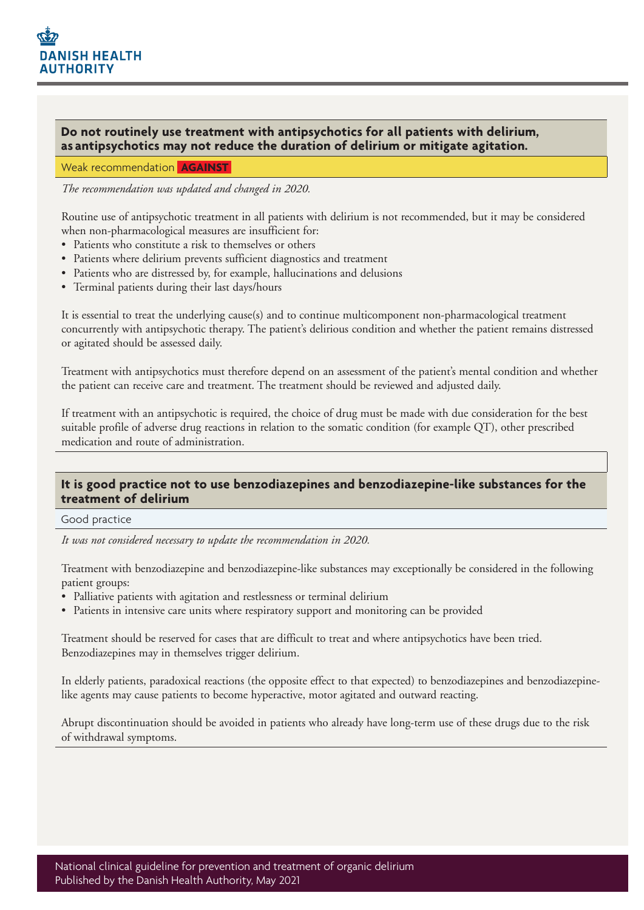# **Do not routinely use treatment with antipsychotics for all patients with delirium, as antipsychotics may not reduce the duration of delirium or mitigate agitation.**

Weak recommendation **AGAINST**

*The recommendation was updated and changed in 2020.*

Routine use of antipsychotic treatment in all patients with delirium is not recommended, but it may be considered when non-pharmacological measures are insufficient for:

- Patients who constitute a risk to themselves or others
- Patients where delirium prevents sufficient diagnostics and treatment
- Patients who are distressed by, for example, hallucinations and delusions
- Terminal patients during their last days/hours

It is essential to treat the underlying cause(s) and to continue multicomponent non-pharmacological treatment concurrently with antipsychotic therapy. The patient's delirious condition and whether the patient remains distressed or agitated should be assessed daily.

Treatment with antipsychotics must therefore depend on an assessment of the patient's mental condition and whether the patient can receive care and treatment. The treatment should be reviewed and adjusted daily.

If treatment with an antipsychotic is required, the choice of drug must be made with due consideration for the best suitable profile of adverse drug reactions in relation to the somatic condition (for example QT), other prescribed medication and route of administration.

#### **It is good practice not to use benzodiazepines and benzodiazepine-like substances for the treatment of delirium**

Good practice

*It was not considered necessary to update the recommendation in 2020.*

Treatment with benzodiazepine and benzodiazepine-like substances may exceptionally be considered in the following patient groups:

- Palliative patients with agitation and restlessness or terminal delirium
- Patients in intensive care units where respiratory support and monitoring can be provided

Treatment should be reserved for cases that are difficult to treat and where antipsychotics have been tried. Benzodiazepines may in themselves trigger delirium.

In elderly patients, paradoxical reactions (the opposite effect to that expected) to benzodiazepines and benzodiazepinelike agents may cause patients to become hyperactive, motor agitated and outward reacting.

Abrupt discontinuation should be avoided in patients who already have long-term use of these drugs due to the risk of withdrawal symptoms.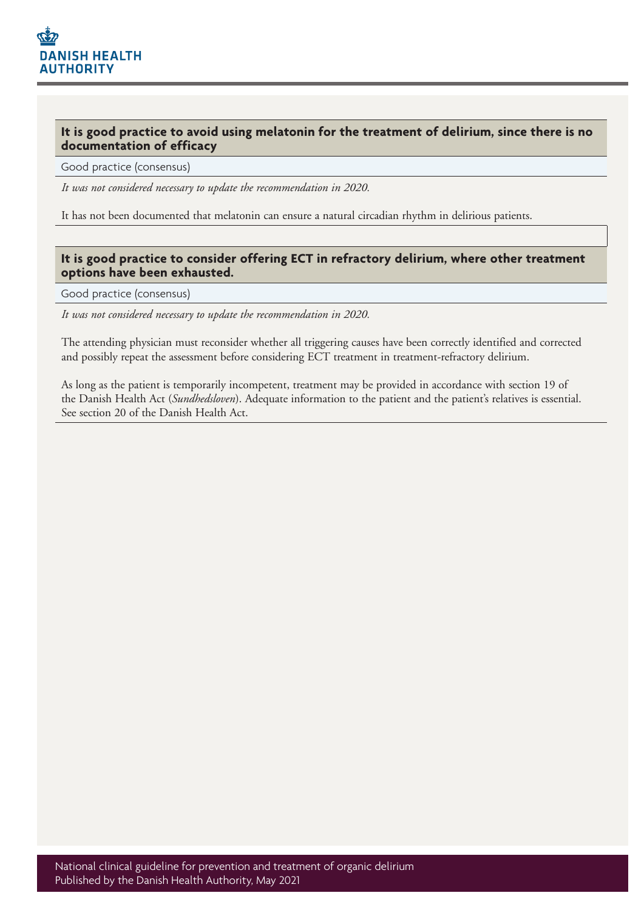**It is good practice to avoid using melatonin for the treatment of delirium, since there is no documentation of efficacy**

Good practice (consensus)

*It was not considered necessary to update the recommendation in 2020.*

It has not been documented that melatonin can ensure a natural circadian rhythm in delirious patients.

## **It is good practice to consider offering ECT in refractory delirium, where other treatment options have been exhausted.**

Good practice (consensus)

*It was not considered necessary to update the recommendation in 2020.*

The attending physician must reconsider whether all triggering causes have been correctly identified and corrected and possibly repeat the assessment before considering ECT treatment in treatment-refractory delirium.

As long as the patient is temporarily incompetent, treatment may be provided in accordance with section 19 of the Danish Health Act (*Sundhedsloven*). Adequate information to the patient and the patient's relatives is essential. See section 20 of the Danish Health Act.